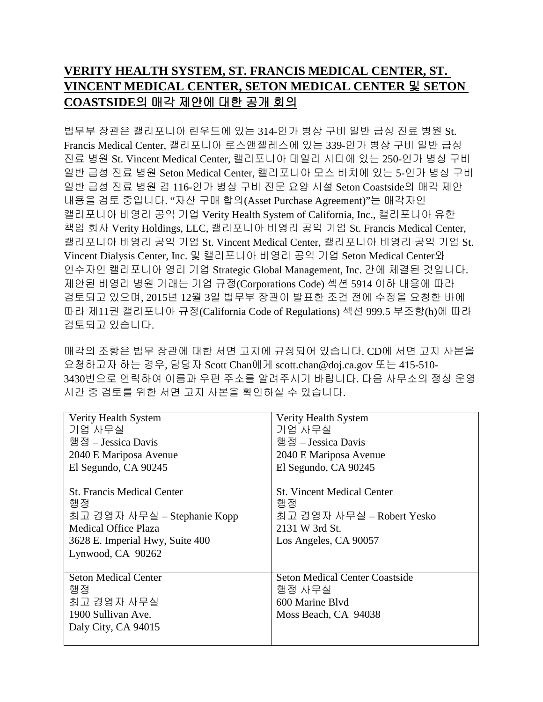## **VERITY HEALTH SYSTEM, ST. FRANCIS MEDICAL CENTER, ST. VINCENT MEDICAL CENTER, SETON MEDICAL CENTER** 및 **SETON COASTSIDE** 의 매각 제안에 대한 공개 회의

 법무부 장관은 캘리포니아 린우드에 있는 314-인가 병상 구비 일반 급성 진료 병원 St. Francis Medical Center, 캘리포니아 로스앤젤레스에 있는 339-인가 병상 구비 일반 급성 진료 병원 St. Vincent Medical Center, 캘리포니아 데일리 시티에 있는 250-인가 병상 구비 일반 급성 진료 병원 Seton Medical Center, 캘리포니아 모스 비치에 있는 5-인가 병상 구비 일반 급성 진료 병원 겸 116-인가 병상 구비 전문 요양 시설 Seton Coastside의 매각 제안 내용을 검토 중입니다. " 자산 구매 합의(Asset Purchase Agreement)" 는 매각자인 캘리포니아 비영리 공익 기업 Verity Health System of California, Inc., 캘리포니아 유한 책임 회사 Verity Holdings, LLC, 캘리포니아 비영리 공익 기업 St. Francis Medical Center, 캘리포니아 비영리 공익 기업 St. Vincent Medical Center, 캘리포니아 비영리 공익 기업 St. Vincent Dialysis Center, Inc. 및 캘리포니아 비영리 공익 기업 Seton Medical Center 와 인수자인 캘리포니아 영리 기업 Strategic Global Management, Inc. 간에 체결된 것입니다. 제안된 비영리 병원 거래는 기업 규정(Corporations Code) 섹션 5914 이하 내용에 따라 검토되고 있으며, 2015년 12월 3일 법무부 장관이 발표한 조건 전에 수정을 요청한 바에 따라 제11권 캘리포니아 규정(California Code of Regulations) 섹션 999.5 부조항(h)에 따라 검토되고 있습니다.

매각의 조항은 법무 장관에 대한 서면 고지에 규정되어 있습니다. CD에 서면 고지 사본을 요청하고자 하는 경우, 담당자 Scott Chan 에게 [scott.chan@doj.ca.gov](mailto:scott.chan@doj.ca.gov) 또는 415-510- 3430 번으로 연락하여 이름과 우편 주소를 알려주시기 바랍니다. 다음 사무소의 정상 운영 시간 중 검토를 위한 서면 고지 사본을 확인하실 수 있습니다.

| Verity Health System              | Verity Health System                  |
|-----------------------------------|---------------------------------------|
| 기업 사무실                            | 기업 사무실                                |
| 행정 – Jessica Davis                | 행정 – Jessica Davis                    |
| 2040 E Mariposa Avenue            | 2040 E Mariposa Avenue                |
| El Segundo, CA 90245              | El Segundo, CA 90245                  |
|                                   |                                       |
| <b>St. Francis Medical Center</b> | <b>St. Vincent Medical Center</b>     |
| 행정                                | 행정                                    |
| 최고 경영자 사무실 – Stephanie Kopp       | 최고 경영자 사무실 – Robert Yesko             |
| <b>Medical Office Plaza</b>       | 2131 W 3rd St.                        |
| 3628 E. Imperial Hwy, Suite 400   | Los Angeles, CA 90057                 |
| Lynwood, CA 90262                 |                                       |
|                                   |                                       |
| <b>Seton Medical Center</b>       | <b>Seton Medical Center Coastside</b> |
| 행정                                | 행정 사무실                                |
| 최고 경영자 사무실                        | 600 Marine Blyd                       |
| 1900 Sullivan Ave.                | Moss Beach, CA 94038                  |
| Daly City, CA 94015               |                                       |
|                                   |                                       |